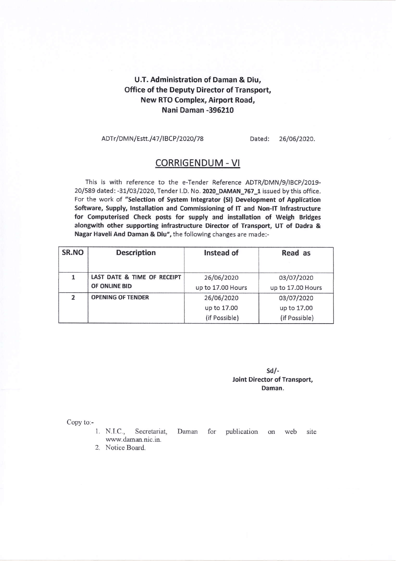# U,T. Administration of Daman & Diu, Office of the Deputy Director of Transport, New RTO Complex, Airport Road, Nani Daman -395210

#### ADTr/DMN/Estt./47/IBCP/2020/78 Dated: 26/06/2020.

## CORRIGENDUM - VI

This is with reference to the e-Tender Reference ADTR/DMN/9/IBCP/2019-20/589 dated: -31/03/2020, Tender I.D. No. 2020\_DAMAN\_767\_1 issued by this office. For the work of "Selection of System Integrator (SI) Development of Application Software, Supply, Installation and Commissioning of IT and Non-IT Infrastructure for Computerised Check posts for supply and installation of Weigh Bridges alongwith other supporting infrastructure Director of Transport, UT of Dadra & Nagat Haveli And Daman & Diu", the following changes are made:-

| SR.NO         | <b>Description</b>          | Instead of        | Read as           |
|---------------|-----------------------------|-------------------|-------------------|
|               |                             |                   |                   |
|               | LAST DATE & TIME OF RECEIPT | 26/06/2020        | 03/07/2020        |
|               | OF ONLINE BID               | up to 17.00 Hours | up to 17.00 Hours |
| $\mathfrak z$ | <b>OPENING OF TENDER</b>    | 26/06/2020        | 03/07/2020        |
|               |                             | up to 17.00       | up to 17.00       |
|               |                             | (if Possible)     | (if Possible)     |

### sd/- Joint Director of Transport, Daman.

Copy to:-

- 1. N.I.C., Secretariat, www.daman.nic.in. Daman for publication on web site
- 2. Notice Board.